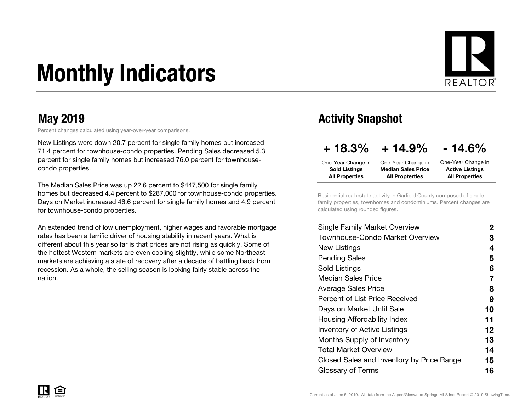# Monthly Indicators



Percent changes calculated using year-over-year comparisons.

New Listings were down 20.7 percent for single family homes but increased 71.4 percent for townhouse-condo properties. Pending Sales decreased 5.3 percent for single family homes but increased 76.0 percent for townhousecondo properties.

The Median Sales Price was up 22.6 percent to \$447,500 for single family homes but decreased 4.4 percent to \$287,000 for townhouse-condo properties. Days on Market increased 46.6 percent for single family homes and 4.9 percent for townhouse-condo properties.

An extended trend of low unemployment, higher wages and favorable mortgage rates has been a terrific driver of housing stability in recent years. What is different about this year so far is that prices are not rising as quickly. Some of the hottest Western markets are even cooling slightly, while some Northeast markets are achieving a state of recovery after a decade of battling back from recession. As a whole, the selling season is looking fairly stable across the nation.

#### May 2019 May 2019

| $+18.3%$                                      | $+14.9%$                                            | $-14.6%$                                        |
|-----------------------------------------------|-----------------------------------------------------|-------------------------------------------------|
| One-Year Change in                            | One-Year Change in                                  | One-Year Change in                              |
| <b>Sold Listings</b><br><b>All Properties</b> | <b>Median Sales Price</b><br><b>All Propterties</b> | <b>Active Listings</b><br><b>All Properties</b> |

Residential real estate activity in Garfield County composed of singlefamily properties, townhomes and condominiums. Percent changes are calculated using rounded figures.

| Single Family Market Overview             | 2  |
|-------------------------------------------|----|
| Townhouse-Condo Market Overview           | З  |
| New Listings                              | 4  |
| <b>Pending Sales</b>                      | 5  |
| Sold Listings                             | 6  |
| <b>Median Sales Price</b>                 | 7  |
| Average Sales Price                       | 8  |
| Percent of List Price Received            | 9  |
| Days on Market Until Sale                 | 10 |
| Housing Affordability Index               | 11 |
| <b>Inventory of Active Listings</b>       | 12 |
| <b>Months Supply of Inventory</b>         | 13 |
| Total Market Overview                     | 14 |
| Closed Sales and Inventory by Price Range | 15 |
| Glossary of Terms                         | 16 |
|                                           |    |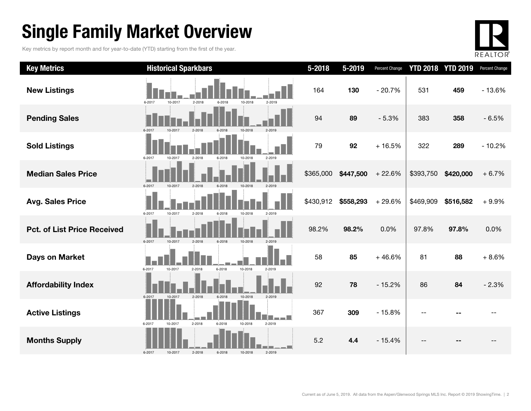### Single Family Market Overview

Key metrics by report month and for year-to-date (YTD) starting from the first of the year.



| <b>Key Metrics</b>                 | <b>Historical Sparkbars</b>                                    | $5 - 2018$ | 5-2019    | Percent Change |           | <b>YTD 2018 YTD 2019</b> | Percent Change |
|------------------------------------|----------------------------------------------------------------|------------|-----------|----------------|-----------|--------------------------|----------------|
| <b>New Listings</b>                | 6-2017<br>10-2017<br>2-2018<br>10-2018<br>6-2018<br>2-2019     | 164        | 130       | $-20.7%$       | 531       | 459                      | $-13.6%$       |
| <b>Pending Sales</b>               | 6-2017<br>10-2017<br>$2 - 2018$<br>6-2018<br>10-2018<br>2-2019 | 94         | 89        | $-5.3%$        | 383       | 358                      | $-6.5%$        |
| <b>Sold Listings</b>               | 2-2019<br>6-2017<br>10-2017<br>$2 - 2018$<br>6-2018<br>10-2018 | 79         | 92        | $+16.5%$       | 322       | 289                      | $-10.2%$       |
| <b>Median Sales Price</b>          | 2-2018<br>6-2017<br>10-2017<br>6-2018<br>10-2018<br>2-2019     | \$365,000  | \$447,500 | $+22.6%$       | \$393,750 | \$420,000                | $+6.7%$        |
| <b>Avg. Sales Price</b>            | 6-2017<br>10-2017<br>2-2018<br>6-2018<br>10-2018<br>2-2019     | \$430,912  | \$558,293 | $+29.6%$       | \$469,909 | \$516,582                | $+9.9%$        |
| <b>Pct. of List Price Received</b> | 6-2017<br>10-2017<br>$2 - 2018$<br>6-2018<br>10-2018<br>2-2019 | 98.2%      | 98.2%     | 0.0%           | 97.8%     | 97.8%                    | 0.0%           |
| <b>Days on Market</b>              | 6-2017<br>6-2018<br>10-2018<br>10-2017<br>2-2018<br>2-2019     | 58         | 85        | $+46.6%$       | 81        | 88                       | $+8.6%$        |
| <b>Affordability Index</b>         | 6-2017<br>10-2017<br>$2 - 2018$<br>10-2018<br>2-2019<br>6-2018 | 92         | 78        | $-15.2%$       | 86        | 84                       | $-2.3%$        |
| <b>Active Listings</b>             | 2-2018<br>6-2017<br>2-2019<br>10-2017<br>$6 - 2018$<br>10-2018 | 367        | 309       | $-15.8%$       |           |                          |                |
| <b>Months Supply</b>               | 2-2018<br>6-2018<br>2-2019<br>6-2017<br>10-2017<br>10-2018     | 5.2        | 4.4       | $-15.4%$       |           |                          |                |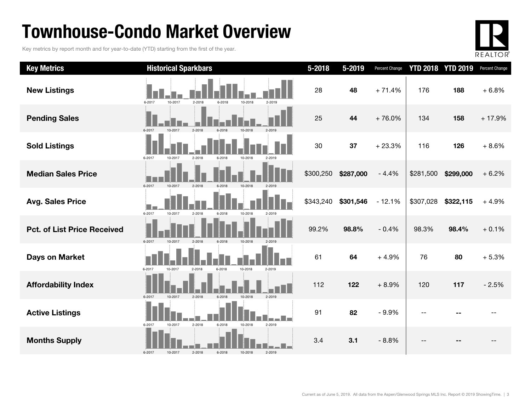### Townhouse-Condo Market Overview

Key metrics by report month and for year-to-date (YTD) starting from the first of the year.



| <b>Key Metrics</b>                 | <b>Historical Sparkbars</b>                                    | $5 - 2018$ | 5-2019    | Percent Change |           | <b>YTD 2018 YTD 2019</b> | Percent Change |
|------------------------------------|----------------------------------------------------------------|------------|-----------|----------------|-----------|--------------------------|----------------|
| <b>New Listings</b>                | 6-2017<br>10-2017<br>2-2018<br>6-2018<br>10-2018<br>2-2019     | 28         | 48        | $+71.4%$       | 176       | 188                      | $+6.8%$        |
| <b>Pending Sales</b>               | 2-2018<br>6-2017<br>10-2017                                    | 25         | 44        | $+76.0%$       | 134       | 158                      | $+17.9%$       |
| <b>Sold Listings</b>               | 6-2017<br>10-2017<br>2-2018<br>6-2018<br>10-2018<br>2-2019     | 30         | 37        | $+23.3%$       | 116       | 126                      | $+8.6%$        |
| <b>Median Sales Price</b>          | 10-2017<br>6-2017<br>$2 - 2018$<br>6-2018<br>10-2018           | \$300,250  | \$287,000 | $-4.4%$        | \$281,500 | \$299,000                | $+6.2%$        |
| <b>Avg. Sales Price</b>            | 6-2017<br>10-2017<br>2-2018<br>10-2018<br>6-2018<br>2-2019     | \$343,240  | \$301,546 | $-12.1%$       | \$307,028 | \$322,115                | $+4.9%$        |
| <b>Pct. of List Price Received</b> | 6-2017<br>2-2018<br>10-2018<br>10-2017<br>6-2018               | 99.2%      | 98.8%     | $-0.4%$        | 98.3%     | 98.4%                    | $+0.1%$        |
| Days on Market                     | 6-2017<br>10-2017<br>$2 - 2018$<br>6-2018<br>10-2018<br>2-2019 | 61         | 64        | $+4.9%$        | 76        | 80                       | $+5.3%$        |
| <b>Affordability Index</b>         | 2-2019<br>6-2017<br>10-2017<br>2-2018<br>6-2018<br>10-2018     | 112        | 122       | $+8.9%$        | 120       | 117                      | $-2.5%$        |
| <b>Active Listings</b>             | 2-2018<br>6-2018<br>10-2018<br>2-2019<br>6-2017<br>10-2017     | 91         | 82        | $-9.9%$        |           |                          |                |
| <b>Months Supply</b>               | 6-2018<br>10-2018<br>2-2019<br>6-2017<br>10-2017<br>2-2018     | 3.4        | 3.1       | $-8.8%$        |           |                          |                |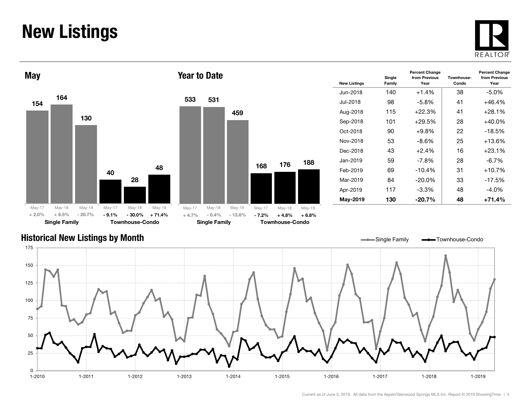### New Listings







| <b>New Listings</b> | Single<br>Family | <b>Percent Change</b><br>from Previous<br>Year | Townhouse-<br>Condo | <b>Percent Change</b><br>from Previous<br>Year |
|---------------------|------------------|------------------------------------------------|---------------------|------------------------------------------------|
| Jun-2018            | 140              | $+1.4%$                                        | 38                  | $-5.0\%$                                       |
| Jul-2018            | 98               | -5.8%                                          | 41                  | $+46.4%$                                       |
| Aug-2018            | 115              | $+22.3%$                                       | 41                  | $+28.1%$                                       |
| Sep-2018            | 101              | $+29.5%$                                       | 28                  | $+40.0\%$                                      |
| Oct-2018            | 90               | $+9.8%$                                        | 22                  | $-18.5%$                                       |
| Nov-2018            | 53               | $-8.6\%$                                       | 25                  | $+13.6%$                                       |
| Dec-2018            | 43               | $+2.4%$                                        | 16                  | $+23.1%$                                       |
| Jan-2019            | 59               | $-7.8\%$                                       | 28                  | $-6.7\%$                                       |
| Feb-2019            | 69               | $-10.4%$                                       | 31                  | $+10.7%$                                       |
| Mar-2019            | 84               | $-20.0\%$                                      | 33                  | $-17.5%$                                       |
| Apr-2019            | 117              | $-3.3\%$                                       | 48                  | $-4.0\%$                                       |
| May-2019            | 130              | $-20.7%$                                       | 48                  | $+71.4%$                                       |

#### Historical New Listings by Month

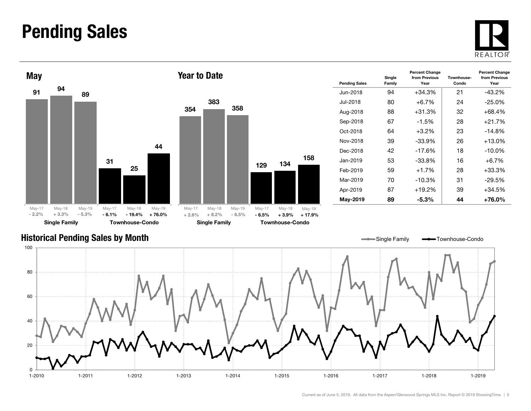#### Pending Sales







| <b>Pending Sales</b> | Single<br>Family | <b>Percent Change</b><br>from Previous<br>Year | Townhouse-<br>Condo | <b>Percent Change</b><br>from Previous<br>Year |
|----------------------|------------------|------------------------------------------------|---------------------|------------------------------------------------|
| Jun-2018             | 94               | +34.3%                                         | 21                  | $-43.2%$                                       |
| Jul-2018             | 80               | +6.7%                                          | 24                  | $-25.0%$                                       |
| Aug-2018             | 88               | $+31.3%$                                       | 32                  | $+68.4%$                                       |
| Sep-2018             | 67               | $-1.5\%$                                       | 28                  | $+21.7%$                                       |
| Oct-2018             | 64               | $+3.2\%$                                       | 23                  | $-14.8%$                                       |
| Nov-2018             | 39               | $-33.9\%$                                      | 26                  | $+13.0%$                                       |
| Dec-2018             | 42               | $-17.6%$                                       | 18                  | $-10.0\%$                                      |
| Jan-2019             | 53               | $-33.8\%$                                      | 16                  | $+6.7%$                                        |
| Feb-2019             | 59               | $+1.7%$                                        | 28                  | $+33.3%$                                       |
| Mar-2019             | 70               | $-10.3%$                                       | 31                  | -29.5%                                         |
| Apr-2019             | 87               | $+19.2%$                                       | 39                  | $+34.5%$                                       |
| May-2019             | 89               | $-5.3\%$                                       | 44                  | $+76.0\%$                                      |

Single Family **-**Townhouse-Condo

#### Historical Pending Sales by Month

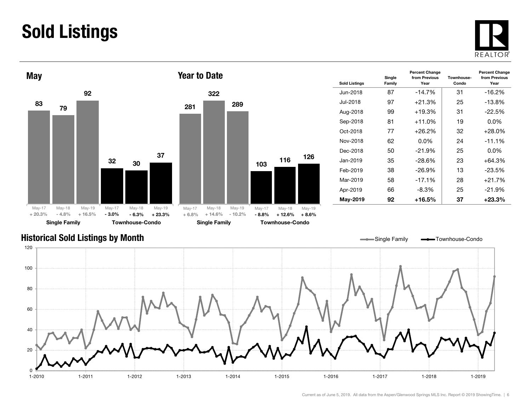### Sold Listings





| <b>Sold Listings</b> | Single<br>Family | <b>Percent Change</b><br>from Previous<br>Year | Townhouse-<br>Condo | <b>Percent Change</b><br>from Previous<br>Year |
|----------------------|------------------|------------------------------------------------|---------------------|------------------------------------------------|
| Jun-2018.            | 87               | $-14.7%$                                       | 31                  | $-16.2%$                                       |
| .Jul-2018            | 97               | $+21.3%$                                       | 25                  | $-13.8%$                                       |
| Aug-2018             | 99               | $+19.3%$                                       | 31                  | $-22.5%$                                       |
| Sep-2018             | 81               | $+11.0\%$                                      | 19                  | $0.0\%$                                        |
| Oct-2018             | 77               | $+26.2\%$                                      | 32                  | $+28.0\%$                                      |
| Nov-2018             | 62               | $0.0\%$                                        | 24                  | $-11.1%$                                       |
| Dec-2018             | 50               | $-21.9%$                                       | 25                  | $0.0\%$                                        |
| Jan-2019.            | 35               | $-28.6\%$                                      | 23                  | $+64.3%$                                       |
| Feb-2019             | 38               | -26.9%                                         | 13                  | -23.5%                                         |
| Mar-2019             | 58               | $-17.1%$                                       | 28                  | $+21.7%$                                       |
| Apr-2019             | 66               | -8.3%                                          | 25                  | $-21.9%$                                       |
| May-2019             | 92               | +16.5%                                         | 37                  | +23.3%                                         |

#### Historical Sold Listings by Month



126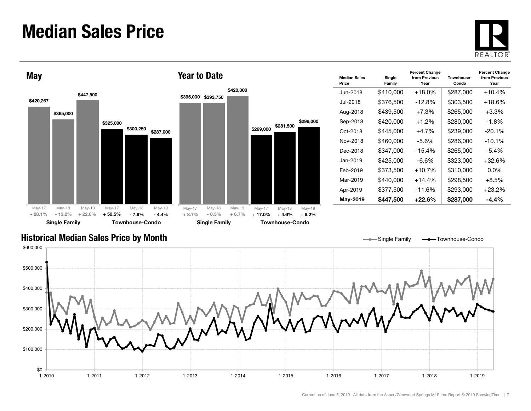#### Median Sales Price





| <b>Median Sales</b><br>Price | Single<br>Family | <b>Percent Change</b><br>from Previous<br>Year | Townhouse-<br>Condo | <b>Percent Change</b><br>from Previous<br>Year |
|------------------------------|------------------|------------------------------------------------|---------------------|------------------------------------------------|
| Jun-2018                     | \$410.000        | +18.0%                                         | \$287,000           | +10.4%                                         |
| Jul-2018.                    | \$376,500        | $-12.8%$                                       | \$303,500           | +18.6%                                         |
| Aug-2018                     | \$439,500        | $+7.3%$                                        | \$265,000           | $+3.3\%$                                       |
| Sep-2018                     | \$420.000        | $+1.2\%$                                       | \$280,000           | -1.8%                                          |
| Oct-2018                     | \$445,000        | $+4.7%$                                        | \$239,000           | $-20.1%$                                       |
| Nov-2018                     | \$460,000        | -5.6%                                          | \$286,000           | $-10.1%$                                       |
| Dec-2018                     | \$347,000        | $-15.4%$                                       | \$265,000           | -5.4%                                          |
| Jan-2019.                    | \$425.000        | -6.6%                                          | \$323,000           | +32.6%                                         |
| Feb-2019                     | \$373,500        | +10.7%                                         | \$310,000           | $0.0\%$                                        |
| Mar-2019                     | \$440.000        | +14.4%                                         | \$298.500           | $+8.5\%$                                       |
| Apr-2019                     | \$377,500        | $-11.6%$                                       | \$293,000           | +23.2%                                         |
| May-2019                     | \$447,500        | $+22.6\%$                                      | \$287,000           | $-4.4%$                                        |

Single Family **-**Townhouse-Condo

#### Historical Median Sales Price by Month

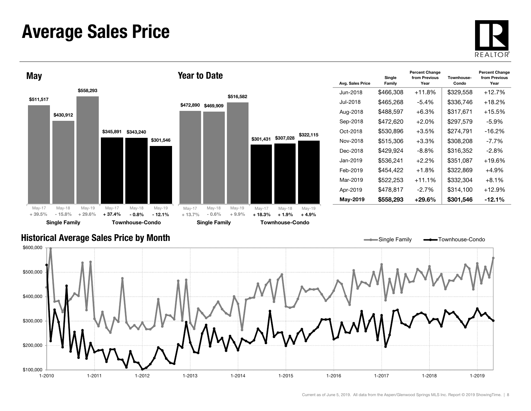#### Average Sales Price





| Avg. Sales Price | Single<br>Family | <b>Percent Change</b><br>from Previous<br>Year | Townhouse-<br>Condo | <b>Percent Change</b><br>from Previous<br>Year |
|------------------|------------------|------------------------------------------------|---------------------|------------------------------------------------|
| Jun-2018         | \$466,308        | +11.8%                                         | \$329,558           | $+12.7%$                                       |
| .Jul-2018        | \$465,268        | $-5.4%$                                        | \$336,746           | $+18.2\%$                                      |
| Aug-2018         | \$488,597        | +6.3%                                          | \$317,671           | $+15.5%$                                       |
| Sep-2018         | \$472,620        | +2.0%                                          | \$297,579           | -5.9%                                          |
| Oct-2018         | \$530,896        | $+3.5%$                                        | \$274,791           | $-16.2%$                                       |
| Nov-2018         | \$515,306        | $+3.3\%$                                       | \$308,208           | -7.7%                                          |
| Dec-2018         | \$429,924        | -8.8%                                          | \$316,352           | -2.8%                                          |
| Jan-2019.        | \$536.241        | $+2.2\%$                                       | \$351.087           | $+19.6%$                                       |
| Feb-2019         | \$454,422        | +1.8%                                          | \$322,869           | $+4.9%$                                        |
| Mar-2019         | \$522,253        | $+11.1%$                                       | \$332,304           | $+8.1\%$                                       |
| Apr-2019         | \$478,817        | $-2.7%$                                        | \$314.100           | $+12.9%$                                       |
| May-2019         | \$558,293        | $+29.6%$                                       | \$301,546           | $-12.1\%$                                      |

#### Historical Average Sales Price by Month

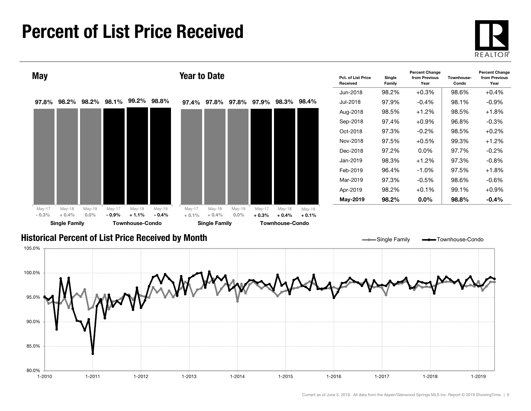#### Percent of List Price Received





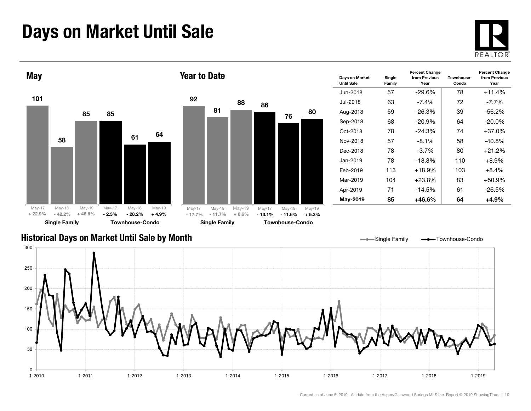### Days on Market Until Sale





| Days on Market<br><b>Until Sale</b> | Single<br>Family | <b>Percent Change</b><br>from Previous<br>Year | Townhouse-<br>Condo | <b>Percent Change</b><br>from Previous<br>Year |
|-------------------------------------|------------------|------------------------------------------------|---------------------|------------------------------------------------|
| Jun-2018                            | 57               | $-29.6%$                                       | 78                  | $+11.4%$                                       |
| .Jul-2018                           | 63               | $-7.4\%$                                       | 72                  | -7.7%                                          |
| Aug-2018                            | 59               | $-26.3%$                                       | 39                  | $-56.2%$                                       |
| Sep-2018                            | 68               | $-20.9%$                                       | 64                  | $-20.0\%$                                      |
| Oct-2018                            | 78               | $-24.3%$                                       | 74                  | +37.0%                                         |
| Nov-2018                            | 57               | $-8.1%$                                        | 58                  | $-40.8%$                                       |
| Dec-2018                            | 78               | $-3.7%$                                        | 80                  | +21.2%                                         |
| Jan-2019                            | 78               | $-18.8%$                                       | 110                 | $+8.9%$                                        |
| Feb-2019                            | 113              | $+18.9%$                                       | 103                 | $+8.4%$                                        |
| Mar-2019                            | 104              | $+23.8%$                                       | 83                  | $+50.9%$                                       |
| Apr-2019                            | 71               | $-14.5%$                                       | 61                  | $-26.5%$                                       |
| May-2019                            | 85               | $+46.6%$                                       | 64                  | $+4.9%$                                        |

#### Historical Days on Market Until Sale by Month

0

50

100

150

200

250

300



80

1-2010 1-2011 1-2012 1-2013 1-2014 1-2015 1-2016 1-2017 1-2018 1-2019

1-2019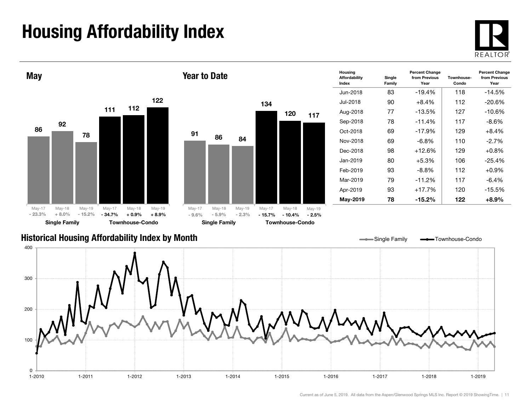## Housing Affordability Index





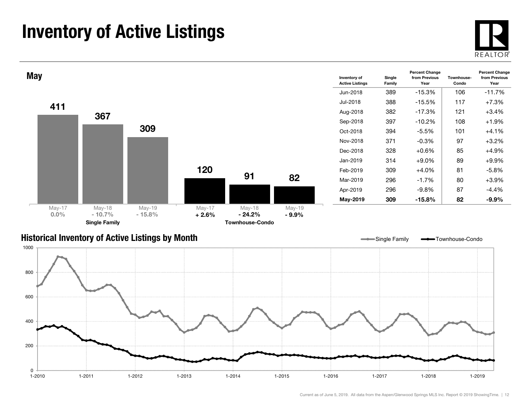### Inventory of Active Listings





#### Historical Inventory of Active Listings by Month



Single Family **-** Townhouse-Condo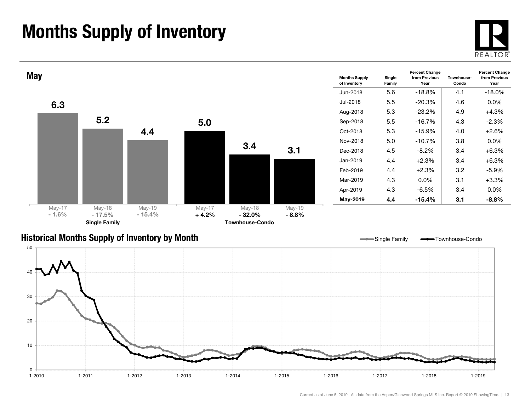### Months Supply of Inventory

0 $1 - 2010$ 

10

20





1-2010 1-2011 1-2012 1-2013 1-2014 1-2015 1-2016 1-2017 1-2018 1-2019

1-2019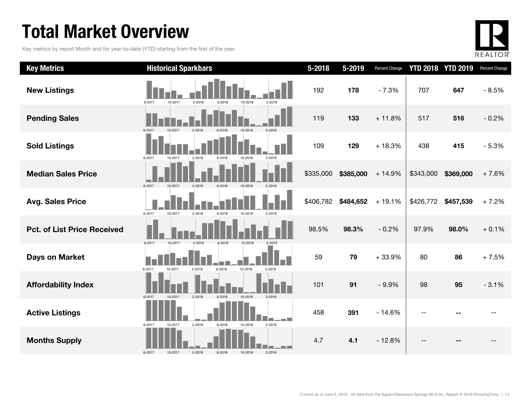### Total Market Overview

Key metrics by report Month and for year-to-date (YTD) starting from the first of the year.



| <b>Key Metrics</b>                 | <b>Historical Sparkbars</b>                                    | 5-2018    | 5-2019    | Percent Change | <b>YTD 2018 YTD 2019</b> |           | Percent Change |
|------------------------------------|----------------------------------------------------------------|-----------|-----------|----------------|--------------------------|-----------|----------------|
| <b>New Listings</b>                | 6-2017<br>10-2017<br>2-2018<br>10-2018<br>6-2018<br>2-2019     | 192       | 178       | $-7.3%$        | 707                      | 647       | $-8.5%$        |
| <b>Pending Sales</b>               | 2-2019<br>6-2017<br>10-2017<br>2-2018                          | 119       | 133       | $+11.8%$       | 517                      | 516       | $-0.2%$        |
| <b>Sold Listings</b>               | 10-2017<br>2-2018<br>6-2018<br>10-2018<br>2-2019<br>6-2017     | 109       | 129       | $+18.3%$       | 438                      | 415       | $-5.3%$        |
| <b>Median Sales Price</b>          | 6-2017<br>10-2017<br>2-2018<br>6-2018<br>2-2019<br>10-2018     | \$335,000 | \$385,000 | $+14.9%$       | \$343,000                | \$369,000 | $+7.6%$        |
| <b>Avg. Sales Price</b>            | 6-2017<br>10-2017<br>2-2018<br>6-2018<br>10-2018<br>2-2019     | \$406,782 | \$484,652 | $+19.1%$       | \$426,772                | \$457,539 | $+7.2%$        |
| <b>Pct. of List Price Received</b> | 10-2017<br>6-2017<br>2-2018<br>$6 - 2018$<br>10-2018<br>2-2019 | 98.5%     | 98.3%     | $-0.2%$        | 97.9%                    | 98.0%     | $+0.1%$        |
| <b>Days on Market</b>              | 10-2018<br>6-2017<br>$2 - 2018$<br>6-2018<br>10-2017<br>2-2019 | 59        | 79        | $+33.9%$       | 80                       | 86        | $+7.5%$        |
| <b>Affordability Index</b>         | $2 - 2018$<br>6-2017<br>10-2017<br>6-2018<br>10-2018<br>2-2019 | 101       | 91        | $-9.9%$        | 98                       | 95        | $-3.1%$        |
| <b>Active Listings</b>             | 2-2018<br>2-2019<br>6-2017<br>6-2018<br>10-2018<br>10-2017     | 458       | 391       | $-14.6%$       |                          |           |                |
| <b>Months Supply</b>               | 6-2017<br>6-2018<br>10-2018<br>2-2019<br>10-2017<br>2-2018     | 4.7       | 4.1       | $-12.8%$       |                          |           |                |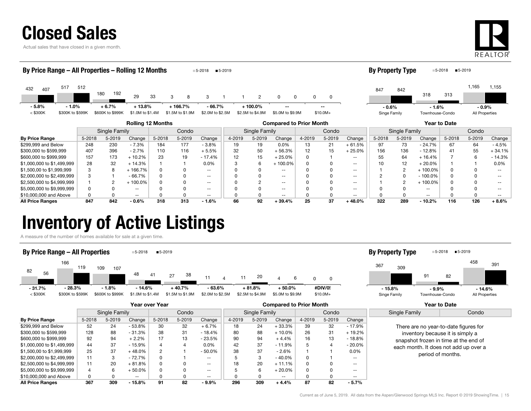|  |  |  | <b>Closed Sales</b> |
|--|--|--|---------------------|
|  |  |  |                     |

Actual sales that have closed in a given month.



458

391

| By Price Range – All Properties – Rolling 12 Months<br>By Property Type<br>$5 - 2019$<br>5-2018<br>■5-2019<br>$5 - 2018$ |               |                  |                  |        |                  |                          |        |                  |                  |              |           |                          |               |                |                          |        |                |          |
|--------------------------------------------------------------------------------------------------------------------------|---------------|------------------|------------------|--------|------------------|--------------------------|--------|------------------|------------------|--------------|-----------|--------------------------|---------------|----------------|--------------------------|--------|----------------|----------|
| 517<br>432<br>407                                                                                                        | 512           | 192<br>180       | 29               | 33     | 8<br>3           | 3                        |        | $\overline{2}$   | 0                |              | 0         |                          | 847           | 842            | 318                      | 313    | 1,165          | 1,155    |
| $-5.8%$<br>$-1.0%$                                                                                                       |               | $+6.7%$          | $+13.8%$         |        | $+166.7%$        | $-66.7%$                 |        | $+100.0\%$       |                  |              | $-$       |                          | $-0.6%$       |                | $-1.6%$                  |        | $-0.9%$        |          |
| $<$ \$300K<br>\$300K to \$599K                                                                                           |               | \$600K to \$999K | \$1.0M to \$1.4M |        | \$1.5M to \$1.9M | \$2.0M to \$2.5M         |        | \$2.5M to \$4.9M | \$5.0M to \$9.9M |              | $$10.0M+$ |                          | Singe Family  |                | Townhouse-Condo          |        | All Properties |          |
| <b>Rolling 12 Months</b><br><b>Compared to Prior Month</b>                                                               |               |                  |                  |        |                  |                          |        |                  |                  | Year to Date |           |                          |               |                |                          |        |                |          |
|                                                                                                                          | Single Family |                  |                  |        | Condo            |                          |        | Single Family    |                  |              | Condo     |                          | Single Family |                | Condo                    |        |                |          |
| <b>By Price Range</b>                                                                                                    | 5-2018        | 5-2019           | Change           | 5-2018 | 5-2019           | Change                   | 4-2019 | 5-2019           | Change           | 4-2019       | 5-2019    | Change                   | 5-2018        | 5-2019         | Change                   | 5-2018 | 5-2019         | Change   |
| \$299,999 and Below                                                                                                      | 248           | 230              | $-7.3%$          | 184    | 177              | $-3.8%$                  | 19     | 19               | 0.0%             | 13           | 21        | $+61.5%$                 | 97            | 73             | $-24.7%$                 | 67     | 64             | $-4.5%$  |
| \$300,000 to \$599,999                                                                                                   | 407           | 396              | $-2.7%$          | 110    | 116              | $+5.5%$                  | 32     | 50               | $+56.3%$         | 12           | 15        | $+25.0%$                 | 156           | 136            | $-12.8%$                 | 41     | 55             | $+34.1%$ |
| \$600,000 to \$999,999                                                                                                   | 157           | 173              | $+10.2%$         | 23     | 19               | - 17.4%                  | 12     | 15               | $+25.0%$         | U            |           | $- -$                    | 55            | 64             | $+16.4%$                 |        | 6              | - 14.3%  |
| \$1,000,000 to \$1,499,999                                                                                               | 28            | 32               | $+14.3%$         |        |                  | 0.0%                     |        | 6                | $+100.0\%$       |              | 0         | $\overline{\phantom{m}}$ | 10            | 12             | $+20.0%$                 |        |                | $0.0\%$  |
| \$1,500,00 to \$1,999,999                                                                                                | 3             | 8                | + 166.7%         |        |                  | $- -$                    |        |                  | $\sim$ $\sim$    |              | U         | $\overline{\phantom{m}}$ |               | $\overline{2}$ | $+100.0\%$               |        |                | --       |
| \$2,000,000 to \$2,499,999                                                                                               | 3             |                  | $-66.7%$         |        |                  | $- -$                    |        |                  | $\sim$ $\sim$    |              |           | $- -$                    |               | 0              | $-100.0%$                |        |                |          |
| \$2,500,000 to \$4,999,999                                                                                               |               | 2                | 100.0%           |        |                  | $\overline{\phantom{a}}$ |        |                  | $\sim$ $\sim$    |              |           | $\overline{\phantom{m}}$ |               | 2              | $+100.0%$                |        |                |          |
| \$5,000,000 to \$9,999,999                                                                                               |               |                  | $- -$            |        |                  | $- -$                    |        |                  | $- -$            |              |           | $- -$                    |               |                | $\overline{\phantom{m}}$ |        |                |          |

All Price Ranges 847 842 - 0.6% 318 313 - 1.6% 66 92 + 39.4% 25 37 + 48.0% 322 289 - 10.2% 116 126 + 8.6%

\$10,000,000 and Above 0 0 -- 0 0 -- 0 0 -- 0 0 -- 0 0 -- 0 0 --

#### Inventory of Active Listings

A measure of the number of homes available for sale at a given time.



| Year over Year             |        |               |           |        |        |                          |        |               | <b>Compared to Prior Month</b> |        |        | <b>Year to Date</b> |               |                                       |  |
|----------------------------|--------|---------------|-----------|--------|--------|--------------------------|--------|---------------|--------------------------------|--------|--------|---------------------|---------------|---------------------------------------|--|
|                            |        | Single Family |           |        | Condo  |                          |        | Single Family |                                | Condo  |        |                     | Single Family | Condo                                 |  |
| <b>By Price Range</b>      | 5-2018 | $5 - 2019$    | Change    | 5-2018 | 5-2019 | Change                   | 4-2019 | 5-2019        | Change                         | 4-2019 | 5-2019 | Change              |               |                                       |  |
| \$299,999 and Below        | 52     | 24            | $-53.8%$  | 30     | 32     | $+6.7%$                  | 18     | 24            | $+33.3%$                       | 39     | 32     | $-17.9%$            |               | There are no year-to-date figures for |  |
| \$300,000 to \$599,999     | 128    | 88            | $-31.3%$  | 38     | 31     | $-18.4%$                 | 80     | 88            | $+10.0\%$                      | 26     | 31     | $+19.2%$            |               | inventory because it is simply a      |  |
| \$600,000 to \$999,999     | 92     | 94            | $+2.2%$   | 17     | 13     | $-23.5%$                 | 90     | 94            | $+4.4%$                        | 16     | 13     | $-18.8%$            |               | snapshot frozen in time at the end of |  |
| \$1,000,000 to \$1,499,999 | 44     | 37            | - 15.9%   |        |        | $0.0\%$                  | 42     | 37            | $-11.9%$                       |        |        | $-20.0%$            |               | each month. It does not add up over a |  |
| \$1,500,00 to \$1,999,999  | 25     | 37            | $+48.0\%$ | 2      |        | $-50.0%$                 | 38     | 37            | $-2.6%$                        |        |        | $0.0\%$             |               | period of months.                     |  |
| \$2,000,000 to \$2,499,999 | 11     | 3             | - 72.7%   | 0      |        | $- -$                    |        | 3             | $-40.0\%$                      | 0      |        | $- -$               |               |                                       |  |
| \$2,500,000 to \$4,999,999 | 11     | 20            | ⊦ 81.8%   | 0      |        | $\overline{\phantom{a}}$ | 18     | 20            | $+11.1%$                       |        |        | $\qquad \qquad -$   |               |                                       |  |
| \$5,000,000 to \$9,999,999 | 4      | 6             | + 50.0%   | 0      |        | $- -$                    |        | 6             | $+20.0%$                       | 0      |        | $- -$               |               |                                       |  |
| \$10,000,000 and Above     | 0      |               | $- -$     |        |        | $- -$                    |        | 0             | $- -$                          |        |        | $- -$               |               |                                       |  |
| <b>All Price Ranges</b>    | 367    | 309           | $-15.8%$  | 91     | 82     | $-9.9%$                  | 296    | 309           | $+4.4%$                        | 87     | 82     | $-5.7%$             |               |                                       |  |